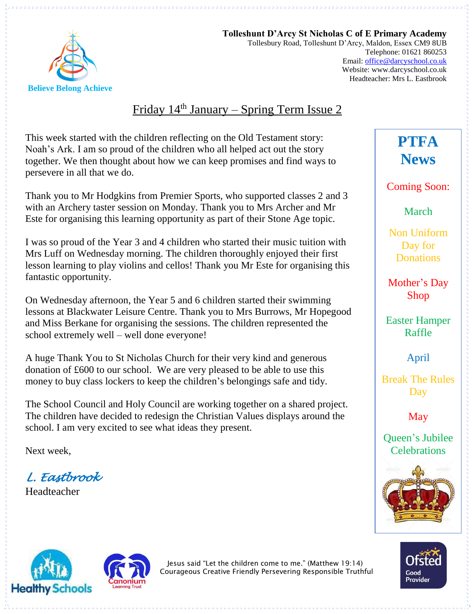

**Tolleshunt D'Arcy St Nicholas C of E Primary Academy** Tollesbury Road, Tolleshunt D'Arcy, Maldon, Essex CM9 8UB Telephone: 01621 860253 Email[: office@darcyschool.co.uk](mailto:office@darcyschool.co.uk) Website: www.darcyschool.co.uk Headteacher: Mrs L. Eastbrook

### Friday  $14<sup>th</sup>$  January – Spring Term Issue 2

This week started with the children reflecting on the Old Testament story: Noah's Ark. I am so proud of the children who all helped act out the story together. We then thought about how we can keep promises and find ways to persevere in all that we do.

Thank you to Mr Hodgkins from Premier Sports, who supported classes 2 and 3 with an Archery taster session on Monday. Thank you to Mrs Archer and Mr Este for organising this learning opportunity as part of their Stone Age topic.

I was so proud of the Year 3 and 4 children who started their music tuition with Mrs Luff on Wednesday morning. The children thoroughly enjoyed their first lesson learning to play violins and cellos! Thank you Mr Este for organising this fantastic opportunity.

On Wednesday afternoon, the Year 5 and 6 children started their swimming lessons at Blackwater Leisure Centre. Thank you to Mrs Burrows, Mr Hopegood and Miss Berkane for organising the sessions. The children represented the school extremely well – well done everyone!

A huge Thank You to St Nicholas Church for their very kind and generous donation of £600 to our school. We are very pleased to be able to use this money to buy class lockers to keep the children's belongings safe and tidy.

The School Council and Holy Council are working together on a shared project. The children have decided to redesign the Christian Values displays around the school. I am very excited to see what ideas they present.

Next week,

*L. Eastbrook* 

Headteacher

Coming Soon: March

**PTFA** 

**News**

Non Uniform Day for **Donations** 

Mother's Day Shop

Easter Hamper Raffle

April

Break The Rules Day

May

Queen's Jubilee **Celebrations** 









Jesus said "Let the children come to me." (Matthew 19:14) Courageous Creative Friendly Persevering Responsible Truthful